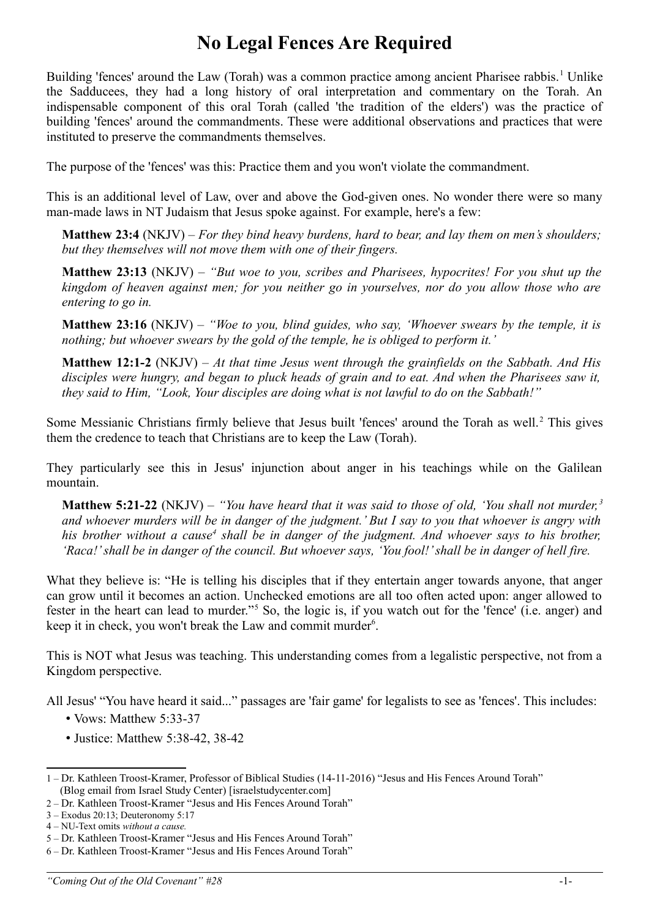## **No Legal Fences Are Required**

Building 'fences' around the Law (Torah) was a common practice among ancient Pharisee rabbis.<sup>[1](#page-0-0)</sup> Unlike the Sadducees, they had a long history of oral interpretation and commentary on the Torah. An indispensable component of this oral Torah (called 'the tradition of the elders') was the practice of building 'fences' around the commandments. These were additional observations and practices that were instituted to preserve the commandments themselves.

The purpose of the 'fences' was this: Practice them and you won't violate the commandment.

This is an additional level of Law, over and above the God-given ones. No wonder there were so many man-made laws in NT Judaism that Jesus spoke against. For example, here's a few:

**Matthew 23:4** (NKJV) – *For they bind heavy burdens, hard to bear, and lay them on men's shoulders; but they themselves will not move them with one of their fingers.*

**Matthew 23:13** (NKJV) – *"But woe to you, scribes and Pharisees, hypocrites! For you shut up the kingdom of heaven against men; for you neither go in yourselves, nor do you allow those who are entering to go in.* 

**Matthew 23:16** (NKJV) – *"Woe to you, blind guides, who say, 'Whoever swears by the temple, it is nothing; but whoever swears by the gold of the temple, he is obliged to perform it.'* 

**Matthew 12:1-2** (NKJV) – *At that time Jesus went through the grainfields on the Sabbath. And His disciples were hungry, and began to pluck heads of grain and to eat. And when the Pharisees saw it, they said to Him, "Look, Your disciples are doing what is not lawful to do on the Sabbath!"*

Some Messianic Christians firmly believe that Jesus built 'fences' around the Torah as well.<sup>[2](#page-0-1)</sup> This gives them the credence to teach that Christians are to keep the Law (Torah).

They particularly see this in Jesus' injunction about anger in his teachings while on the Galilean mountain.

**Matthew 5:21-22** (NKJV) – *"You have heard that it was said to those of old, 'You shall not murder, [3](#page-0-2) and whoever murders will be in danger of the judgment.' But I say to you that whoever is angry with* his brother without a cause<sup>[4](#page-0-3)</sup> shall be in danger of the judgment. And whoever says to his brother, *'Raca!' shall be in danger of the council. But whoever says, 'You fool!' shall be in danger of hell fire.* 

What they believe is: "He is telling his disciples that if they entertain anger towards anyone, that anger can grow until it becomes an action. Unchecked emotions are all too often acted upon: anger allowed to fester in the heart can lead to murder."<sup>[5](#page-0-4)</sup> So, the logic is, if you watch out for the 'fence' (i.e. anger) and keep it in check, you won't break the Law and commit murder<sup>[6](#page-0-5)</sup>.

This is NOT what Jesus was teaching. This understanding comes from a legalistic perspective, not from a Kingdom perspective.

All Jesus' "You have heard it said..." passages are 'fair game' for legalists to see as 'fences'. This includes:

- Vows: Matthew 5:33-37
- Justice: Matthew 5:38-42, 38-42

<span id="page-0-0"></span><sup>1 –</sup> Dr. Kathleen Troost-Kramer, Professor of Biblical Studies (14-11-2016) "Jesus and His Fences Around Torah" (Blog email from Israel Study Center) [israelstudycenter.com]

<span id="page-0-1"></span><sup>2 –</sup> Dr. Kathleen Troost-Kramer "Jesus and His Fences Around Torah"

<span id="page-0-2"></span><sup>3 –</sup> Exodus 20:13; Deuteronomy 5:17

<span id="page-0-3"></span><sup>4 –</sup> NU-Text omits *without a cause.*

<span id="page-0-4"></span><sup>5 –</sup> Dr. Kathleen Troost-Kramer "Jesus and His Fences Around Torah"

<span id="page-0-5"></span><sup>6 –</sup> Dr. Kathleen Troost-Kramer "Jesus and His Fences Around Torah"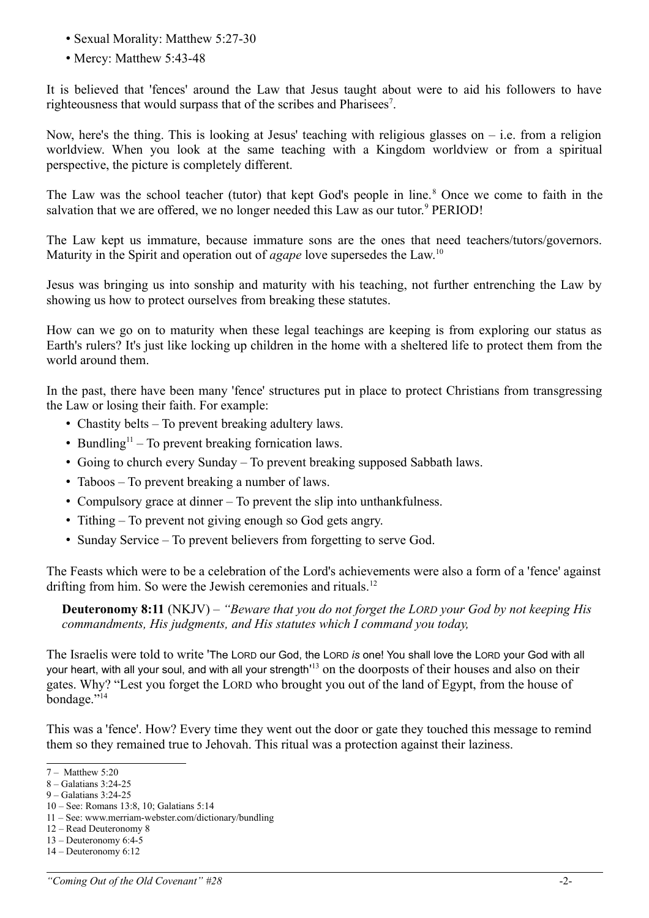- Sexual Morality: Matthew 5:27-30
- Mercy: Matthew 5:43-48

It is believed that 'fences' around the Law that Jesus taught about were to aid his followers to have righteousness that would surpass that of the scribes and Pharisees<sup>[7](#page-1-0)</sup>.

Now, here's the thing. This is looking at Jesus' teaching with religious glasses on  $-$  i.e. from a religion worldview. When you look at the same teaching with a Kingdom worldview or from a spiritual perspective, the picture is completely different.

The Law was the school teacher (tutor) that kept God's people in line.<sup>[8](#page-1-1)</sup> Once we come to faith in the salvation that we are offered, we no longer needed this Law as our tutor.<sup>[9](#page-1-2)</sup> PERIOD!

The Law kept us immature, because immature sons are the ones that need teachers/tutors/governors. Maturity in the Spirit and operation out of *agape* love supersedes the Law.<sup>[10](#page-1-3)</sup>

Jesus was bringing us into sonship and maturity with his teaching, not further entrenching the Law by showing us how to protect ourselves from breaking these statutes.

How can we go on to maturity when these legal teachings are keeping is from exploring our status as Earth's rulers? It's just like locking up children in the home with a sheltered life to protect them from the world around them.

In the past, there have been many 'fence' structures put in place to protect Christians from transgressing the Law or losing their faith. For example:

- Chastity belts To prevent breaking adultery laws.
- Bundling<sup>[11](#page-1-4)</sup> To prevent breaking fornication laws.
- Going to church every Sunday To prevent breaking supposed Sabbath laws.
- Taboos To prevent breaking a number of laws.
- Compulsory grace at dinner To prevent the slip into unthankfulness.
- Tithing To prevent not giving enough so God gets angry.
- Sunday Service To prevent believers from forgetting to serve God.

The Feasts which were to be a celebration of the Lord's achievements were also a form of a 'fence' against drifting from him. So were the Jewish ceremonies and rituals.<sup>[12](#page-1-5)</sup>

**Deuteronomy 8:11** (NKJV) – *"Beware that you do not forget the LORD your God by not keeping His commandments, His judgments, and His statutes which I command you today,* 

The Israelis were told to write 'The LORD our God, the LORD *is* one! You shall love the LORD your God with all your heart, with all your soul, and with all your strength'<sup>[13](#page-1-6)</sup> on the doorposts of their houses and also on their gates. Why? "Lest you forget the LORD who brought you out of the land of Egypt, from the house of bondage."<sup>[14](#page-1-7)</sup>

This was a 'fence'. How? Every time they went out the door or gate they touched this message to remind them so they remained true to Jehovah. This ritual was a protection against their laziness.

- <span id="page-1-3"></span>10 – See: Romans 13:8, 10; Galatians 5:14
- <span id="page-1-4"></span>11 – See: www.merriam-webster.com/dictionary/bundling

<span id="page-1-0"></span><sup>7 –</sup> Matthew 5:20

<span id="page-1-1"></span><sup>8 –</sup> Galatians 3:24-25

<span id="page-1-2"></span><sup>9 –</sup> Galatians 3:24-25

<span id="page-1-5"></span><sup>12 –</sup> Read Deuteronomy 8

<span id="page-1-6"></span><sup>13 –</sup> Deuteronomy 6:4-5

<span id="page-1-7"></span><sup>14 –</sup> Deuteronomy 6:12